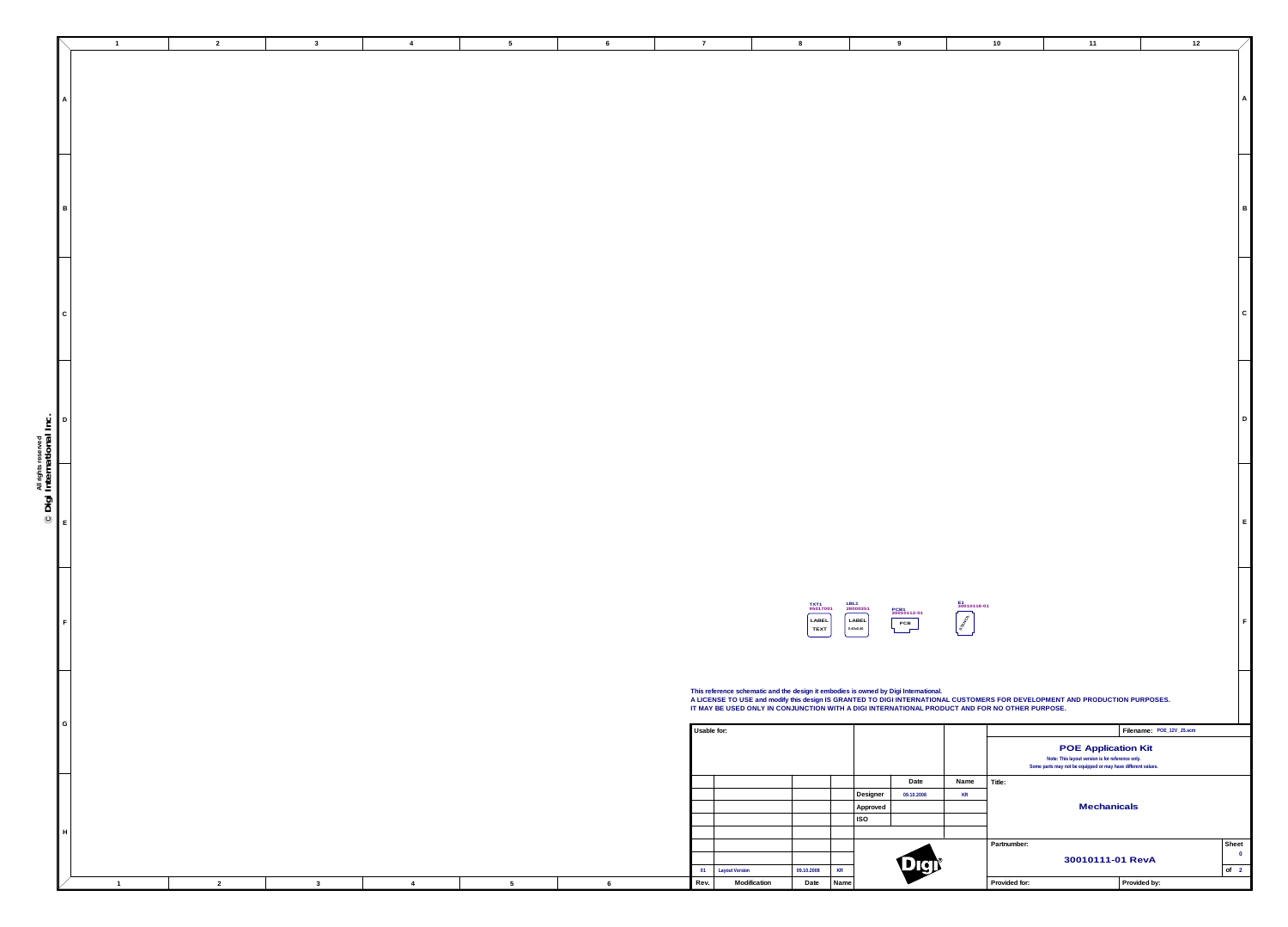**All rights reserved**

**Date**

|                 |   |      |                       |            |           | Designer   | 09.10.2008   | <b>KR</b> |       |
|-----------------|---|------|-----------------------|------------|-----------|------------|--------------|-----------|-------|
|                 |   |      |                       |            |           | Approved   |              |           |       |
|                 |   |      |                       |            |           | <b>ISO</b> |              |           |       |
|                 |   |      |                       |            |           |            |              |           |       |
|                 |   |      |                       |            |           |            |              |           | Partn |
|                 |   |      |                       |            |           |            | $\mathbb{Q}$ |           |       |
|                 |   | 01   | <b>Layout Version</b> | 09.10.2008 | <b>KR</b> |            | UCI          |           |       |
| $5\overline{)}$ | 6 | Rev. | Modification          | Date       | Name      |            |              |           | Provi |
|                 |   |      |                       |            |           |            |              |           |       |

**Usable for:**

|                           |               | $\mathbf 1$ | $\overline{2}$ | $\mathbf{3}$ | $\overline{4}$ | $\sqrt{5}$      | 6 |
|---------------------------|---------------|-------------|----------------|--------------|----------------|-----------------|---|
|                           | $\mathsf{A}$  |             |                |              |                |                 |   |
|                           |               |             |                |              |                |                 |   |
|                           | $\mathsf B$   |             |                |              |                |                 |   |
|                           |               |             |                |              |                |                 |   |
|                           | ${\bf C}$     |             |                |              |                |                 |   |
|                           |               |             |                |              |                |                 |   |
|                           | $\mathsf D$   |             |                |              |                |                 |   |
| © Digi International Inc. |               |             |                |              |                |                 |   |
|                           | $\mathsf E$   |             |                |              |                |                 |   |
|                           | $\mathsf F$   |             |                |              |                |                 |   |
|                           |               |             |                |              |                |                 |   |
|                           | ${\mathsf G}$ |             |                |              |                |                 |   |
|                           |               |             |                |              |                |                 |   |
|                           | H             |             |                |              |                |                 |   |
|                           |               | -1          | $\overline{2}$ | $\mathbf{3}$ | $\overline{4}$ | $5\overline{)}$ | 6 |

| $10\,$                       | $11$                                                                           | $12$                     |                             |
|------------------------------|--------------------------------------------------------------------------------|--------------------------|-----------------------------|
|                              |                                                                                |                          |                             |
|                              |                                                                                |                          |                             |
|                              |                                                                                |                          | $\boldsymbol{\mathsf{A}}$   |
|                              |                                                                                |                          |                             |
|                              |                                                                                |                          |                             |
|                              |                                                                                |                          |                             |
|                              |                                                                                |                          |                             |
|                              |                                                                                |                          | $\sf B$                     |
|                              |                                                                                |                          |                             |
|                              |                                                                                |                          |                             |
|                              |                                                                                |                          |                             |
|                              |                                                                                |                          |                             |
|                              |                                                                                |                          | $\mathsf C$                 |
|                              |                                                                                |                          |                             |
|                              |                                                                                |                          |                             |
|                              |                                                                                |                          |                             |
|                              |                                                                                |                          |                             |
|                              |                                                                                |                          | D                           |
|                              |                                                                                |                          |                             |
|                              |                                                                                |                          |                             |
|                              |                                                                                |                          |                             |
|                              |                                                                                |                          |                             |
|                              |                                                                                |                          | E                           |
|                              |                                                                                |                          |                             |
|                              |                                                                                |                          |                             |
|                              |                                                                                |                          |                             |
| E1<br>30010118-01            |                                                                                |                          |                             |
| STRANDON                     |                                                                                |                          | $\mathsf F$                 |
|                              |                                                                                |                          |                             |
|                              |                                                                                |                          |                             |
|                              | CUSTOMERS FOR DEVELOPMENT AND PRODUCTION PURPOSES.                             |                          |                             |
| CT AND FOR NO OTHER PURPOSE. |                                                                                |                          |                             |
|                              |                                                                                | Filename: POE_12V_JS.scm |                             |
|                              | <b>POE Application Kit</b><br>Note: This layout version is for reference only. |                          |                             |
| Name<br>Title:               | Some parts may not be equipped or may have different values.                   |                          |                             |
| <b>KR</b>                    | <b>Mechanicals</b>                                                             |                          |                             |
|                              |                                                                                |                          |                             |
| Partnumber:                  |                                                                                | Sheet                    |                             |
|                              | 30010111-01 RevA                                                               | of                       | $\pmb{0}$<br>$\overline{2}$ |
| Provided for:                |                                                                                | Provided by:             |                             |





**This reference schematic and the design it embodies is owned by Digi International. A LICENSE TO USE and modify this design IS GRANTED TO DIGI INTERNATIONAL CUSTOMERS FOR DEVELOPMENT AND PRODUCTION PURPOSES. IT MAY BE USED ONLY IN CONJUNCTION WITH A DIGI INTERNATIONAL PRODUCT AND FOR NO OTHER PURPOSE.**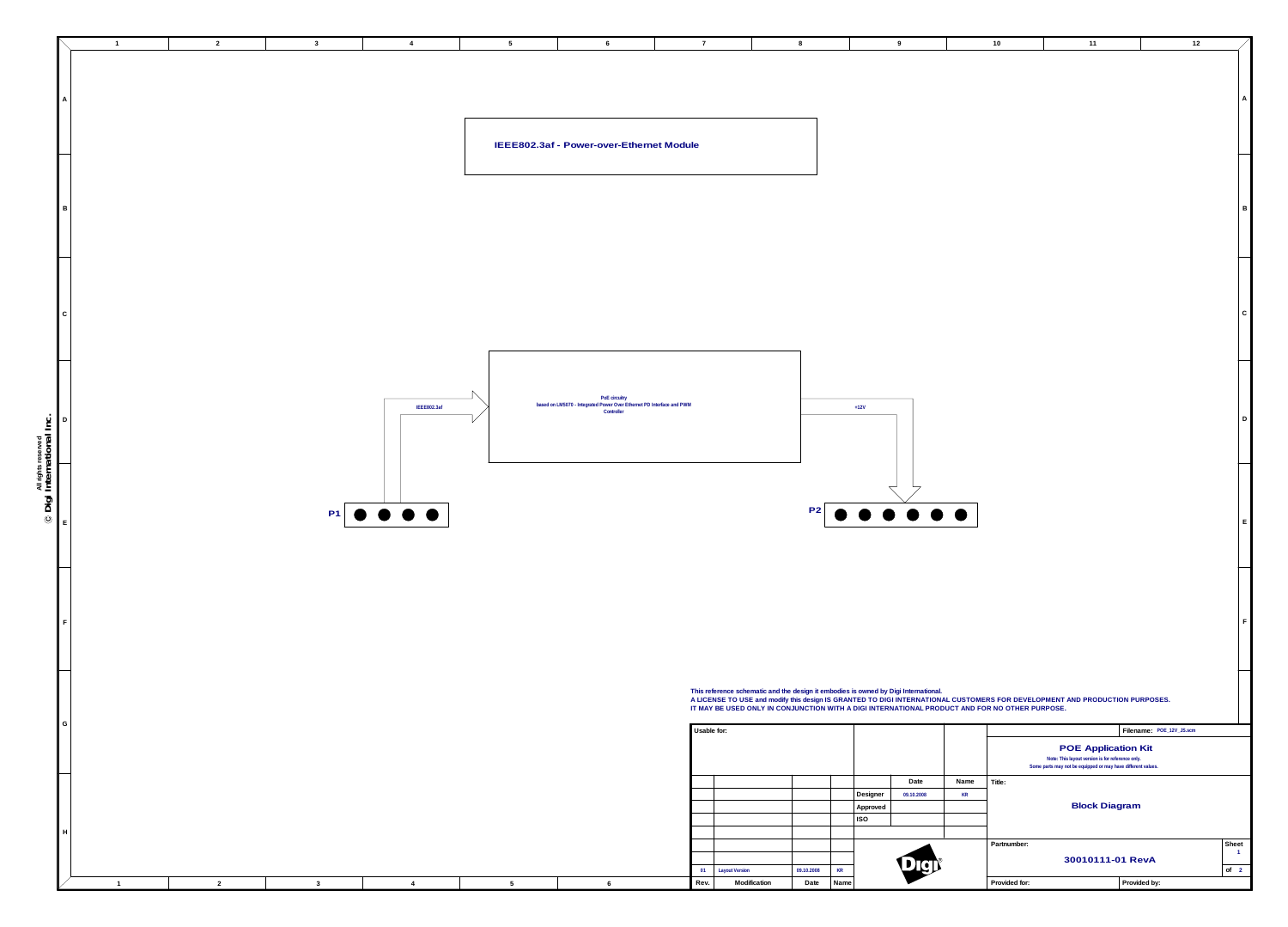|                                    |   |    |            |             |                                                                                                      |             |                       |                              |                                                                                                                                                                                                                    |               |               |                                                                                                                  |                            | 12                      |
|------------------------------------|---|----|------------|-------------|------------------------------------------------------------------------------------------------------|-------------|-----------------------|------------------------------|--------------------------------------------------------------------------------------------------------------------------------------------------------------------------------------------------------------------|---------------|---------------|------------------------------------------------------------------------------------------------------------------|----------------------------|-------------------------|
|                                    |   |    |            |             |                                                                                                      |             |                       |                              |                                                                                                                                                                                                                    |               |               |                                                                                                                  |                            |                         |
|                                    |   |    |            |             |                                                                                                      |             |                       |                              |                                                                                                                                                                                                                    |               |               |                                                                                                                  |                            |                         |
|                                    |   |    |            |             |                                                                                                      |             |                       |                              |                                                                                                                                                                                                                    |               |               |                                                                                                                  |                            |                         |
|                                    |   |    |            |             |                                                                                                      |             |                       |                              |                                                                                                                                                                                                                    |               |               |                                                                                                                  |                            |                         |
|                                    |   |    |            |             | IEEE802.3af - Power-over-Ethernet Module                                                             |             |                       |                              |                                                                                                                                                                                                                    |               |               |                                                                                                                  |                            |                         |
|                                    |   |    |            |             |                                                                                                      |             |                       |                              |                                                                                                                                                                                                                    |               |               |                                                                                                                  |                            |                         |
|                                    |   |    |            |             |                                                                                                      |             |                       |                              |                                                                                                                                                                                                                    |               |               |                                                                                                                  |                            |                         |
|                                    |   |    |            |             |                                                                                                      |             |                       |                              |                                                                                                                                                                                                                    |               |               |                                                                                                                  |                            |                         |
|                                    |   |    |            |             |                                                                                                      |             |                       |                              |                                                                                                                                                                                                                    |               |               |                                                                                                                  |                            |                         |
|                                    |   |    |            |             |                                                                                                      |             |                       |                              |                                                                                                                                                                                                                    |               |               |                                                                                                                  |                            |                         |
|                                    |   |    |            |             |                                                                                                      |             |                       |                              |                                                                                                                                                                                                                    |               |               |                                                                                                                  |                            |                         |
|                                    |   |    |            |             |                                                                                                      |             |                       |                              |                                                                                                                                                                                                                    |               |               |                                                                                                                  |                            |                         |
|                                    |   |    |            |             |                                                                                                      |             |                       |                              |                                                                                                                                                                                                                    |               |               |                                                                                                                  |                            |                         |
|                                    |   |    |            |             |                                                                                                      |             |                       |                              |                                                                                                                                                                                                                    |               |               |                                                                                                                  |                            |                         |
|                                    |   |    |            |             |                                                                                                      |             |                       |                              |                                                                                                                                                                                                                    |               |               |                                                                                                                  |                            |                         |
|                                    |   |    |            |             |                                                                                                      |             |                       |                              |                                                                                                                                                                                                                    |               |               |                                                                                                                  |                            |                         |
|                                    |   |    |            | IEEE802.3af | PoE circuitry<br>based on LM5070 - Integrated Power Over Ethernet PD Interface and PWM<br>Controller |             |                       |                              | $+12V$                                                                                                                                                                                                             |               |               |                                                                                                                  |                            | D                       |
|                                    |   |    |            |             |                                                                                                      |             |                       |                              |                                                                                                                                                                                                                    |               |               |                                                                                                                  |                            |                         |
|                                    |   |    |            |             |                                                                                                      |             |                       |                              |                                                                                                                                                                                                                    |               |               |                                                                                                                  |                            |                         |
| $\bigcirc$ Digi International Inc. |   |    |            |             |                                                                                                      |             |                       |                              |                                                                                                                                                                                                                    |               |               |                                                                                                                  |                            |                         |
|                                    |   |    |            |             |                                                                                                      |             |                       |                              |                                                                                                                                                                                                                    |               |               |                                                                                                                  |                            |                         |
|                                    |   |    | P1 0 0 0 0 |             |                                                                                                      |             |                       |                              | $P2$<br><br><br><br><br><br><br><br><br><br><br><br><br><br><br><br><br><br><br><br><br><br><br><br><br><br><br><br><br><br><br><br>                                                                               |               |               |                                                                                                                  |                            | E                       |
|                                    |   |    |            |             |                                                                                                      |             |                       |                              |                                                                                                                                                                                                                    |               |               |                                                                                                                  |                            |                         |
|                                    |   |    |            |             |                                                                                                      |             |                       |                              |                                                                                                                                                                                                                    |               |               |                                                                                                                  |                            |                         |
|                                    |   |    |            |             |                                                                                                      |             |                       |                              |                                                                                                                                                                                                                    |               |               |                                                                                                                  |                            |                         |
|                                    |   |    |            |             |                                                                                                      |             |                       |                              |                                                                                                                                                                                                                    |               |               |                                                                                                                  |                            |                         |
|                                    |   |    |            |             |                                                                                                      |             |                       |                              |                                                                                                                                                                                                                    |               |               |                                                                                                                  |                            |                         |
|                                    |   |    |            |             |                                                                                                      |             |                       |                              |                                                                                                                                                                                                                    |               |               |                                                                                                                  |                            |                         |
|                                    |   |    |            |             |                                                                                                      |             |                       |                              |                                                                                                                                                                                                                    |               |               |                                                                                                                  |                            |                         |
|                                    |   |    |            |             |                                                                                                      |             |                       |                              | This reference schematic and the design it embodies is owned by Digi International.<br>A LICENSE TO USE and modify this design IS GRANTED TO DIGI INTERNATIONAL CUSTOMERS FOR DEVELOPMENT AND PRODUCTION PURPOSES. |               |               |                                                                                                                  |                            |                         |
|                                    | G |    |            |             |                                                                                                      |             |                       |                              | IT MAY BE USED ONLY IN CONJUNCTION WITH A DIGI INTERNATIONAL PRODUCT AND FOR NO OTHER PURPOSE.                                                                                                                     |               |               |                                                                                                                  |                            |                         |
|                                    |   |    |            |             |                                                                                                      | Usable for: |                       |                              |                                                                                                                                                                                                                    |               |               |                                                                                                                  | Filename: POE_12V_JS.scm   |                         |
|                                    |   |    |            |             |                                                                                                      |             |                       |                              |                                                                                                                                                                                                                    |               |               | Note: This layout version is for reference only.<br>Some parts may not be equipped or may have different values. | <b>POE Application Kit</b> |                         |
|                                    |   |    |            |             |                                                                                                      |             |                       |                              | Date                                                                                                                                                                                                               | Name   Title: |               |                                                                                                                  |                            |                         |
|                                    |   |    |            |             |                                                                                                      |             |                       |                              | $\vert$ Designer<br>09.10.2008<br>Approved                                                                                                                                                                         | <b>KR</b>     |               |                                                                                                                  | <b>Block Diagram</b>       |                         |
|                                    |   |    |            |             |                                                                                                      |             |                       |                              | $ $ ISO                                                                                                                                                                                                            |               |               |                                                                                                                  |                            |                         |
|                                    |   |    |            |             |                                                                                                      |             |                       |                              |                                                                                                                                                                                                                    |               | Partnumber:   |                                                                                                                  |                            | Sheet<br>$\overline{1}$ |
|                                    |   |    |            |             |                                                                                                      | 01          | <b>Layout Version</b> | KR<br>09.10.2008             | DICI                                                                                                                                                                                                               |               |               |                                                                                                                  | 30010111-01 RevA           | of 2                    |
|                                    |   | ົາ |            |             |                                                                                                      | Rev.        | Modification          | Date<br>$\vert$ Name $\vert$ |                                                                                                                                                                                                                    |               | Provided for: |                                                                                                                  | Provided by:               |                         |

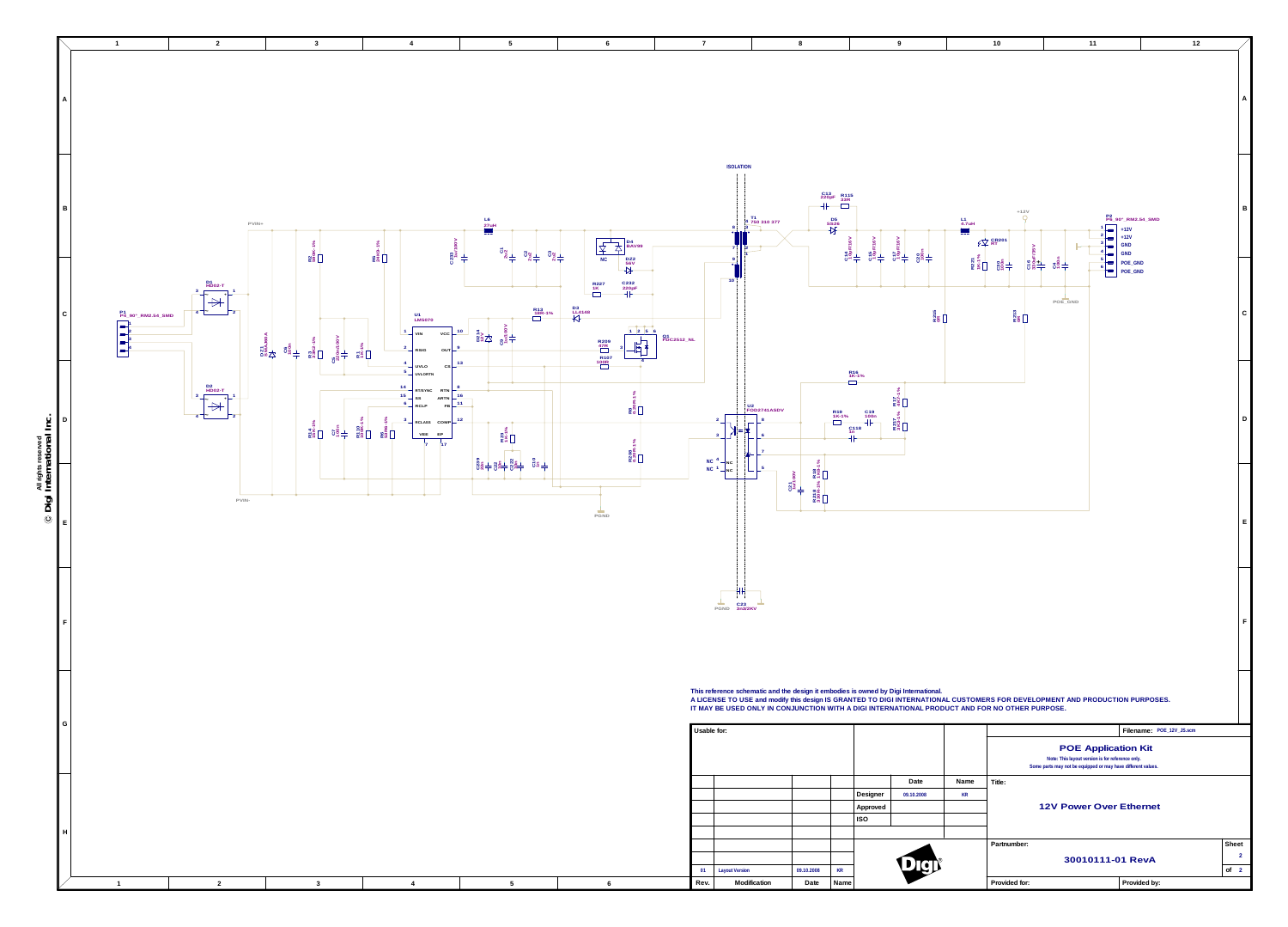**All rights reserved**



| Usable for: |                       |            |           |            |            |           |       |
|-------------|-----------------------|------------|-----------|------------|------------|-----------|-------|
|             |                       |            |           |            |            |           |       |
|             |                       |            |           |            |            |           |       |
|             |                       |            |           |            |            |           |       |
|             |                       |            |           |            | Date       | Name      | Title |
|             |                       |            |           | Designer   | 09.10.2008 | <b>KR</b> |       |
|             |                       |            |           | Approved   |            |           |       |
|             |                       |            |           | <b>ISO</b> |            |           |       |
|             |                       |            |           |            |            |           |       |
|             |                       |            |           |            |            |           | Part  |
|             |                       |            |           |            |            |           |       |
| 01          | <b>Layout Version</b> | 09.10.2008 | <b>KR</b> |            | DER        |           |       |
| Rev.        | Modification          | Date       | Name      |            |            |           | Pro   |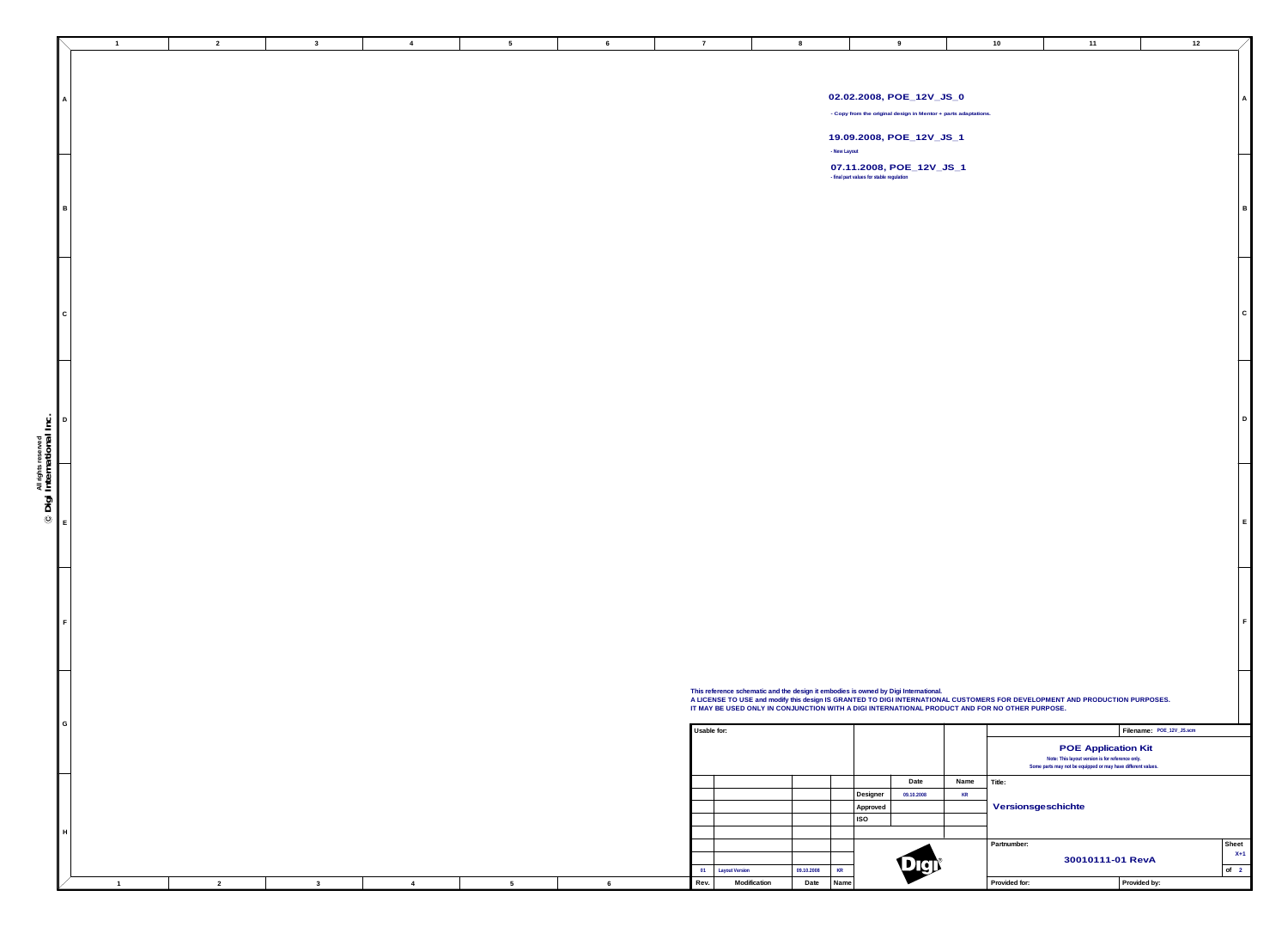**Usable for:**

|                 |  | $\overline{2}$ |                | $\mathbf{3}$ | $\overline{4}$ | $5\overline{)}$ | 6               |
|-----------------|--|----------------|----------------|--------------|----------------|-----------------|-----------------|
| $\mathsf{A}$    |  |                |                |              |                |                 |                 |
| $\, {\bf B} \,$ |  |                |                |              |                |                 |                 |
| ${\bf C}$       |  |                |                |              |                |                 |                 |
| $\mathsf D$     |  |                |                |              |                |                 |                 |
| $\mathsf E$     |  |                |                |              |                |                 |                 |
| $\mathsf F$     |  |                |                |              |                |                 |                 |
| ${\mathsf G}$   |  |                |                |              |                |                 |                 |
| H               |  |                |                |              |                |                 | 6               |
|                 |  |                | $\overline{2}$ |              | $\mathbf{3}$   | $\overline{4}$  | $5\phantom{.0}$ |

|                 |   |      |                       |            |           |            | Date       | Name      | Title: |
|-----------------|---|------|-----------------------|------------|-----------|------------|------------|-----------|--------|
|                 |   |      |                       |            |           | Designer   | 09.10.2008 | <b>KR</b> |        |
|                 |   |      |                       |            |           | Approved   |            |           | Ve     |
|                 |   |      |                       |            |           | <b>ISO</b> |            |           |        |
|                 |   |      |                       |            |           |            |            |           |        |
|                 |   |      |                       |            |           |            |            |           | Partr  |
|                 |   |      |                       |            |           |            |            |           |        |
|                 |   | 01   | <b>Layout Version</b> | 09.10.2008 | <b>KR</b> |            | DEI        |           |        |
| $5\phantom{.0}$ | 6 | Rev. | Modification          | Date       | Name      |            |            |           | Prov   |
|                 |   |      |                       |            |           |            |            |           |        |

| $10$               | $11$                                                                           | 12                       |                             |
|--------------------|--------------------------------------------------------------------------------|--------------------------|-----------------------------|
|                    |                                                                                |                          |                             |
|                    |                                                                                |                          |                             |
|                    |                                                                                |                          |                             |
|                    |                                                                                |                          | $\mathsf A$                 |
|                    |                                                                                |                          |                             |
|                    |                                                                                |                          |                             |
|                    |                                                                                |                          |                             |
|                    |                                                                                |                          |                             |
|                    |                                                                                |                          |                             |
|                    |                                                                                |                          |                             |
|                    |                                                                                |                          |                             |
|                    |                                                                                |                          | $\mathsf B$                 |
|                    |                                                                                |                          |                             |
|                    |                                                                                |                          |                             |
|                    |                                                                                |                          |                             |
|                    |                                                                                |                          |                             |
|                    |                                                                                |                          |                             |
|                    |                                                                                |                          |                             |
|                    |                                                                                |                          |                             |
|                    |                                                                                |                          | $\mathsf C$                 |
|                    |                                                                                |                          |                             |
|                    |                                                                                |                          |                             |
|                    |                                                                                |                          |                             |
|                    |                                                                                |                          |                             |
|                    |                                                                                |                          |                             |
|                    |                                                                                |                          |                             |
|                    |                                                                                |                          | D                           |
|                    |                                                                                |                          |                             |
|                    |                                                                                |                          |                             |
|                    |                                                                                |                          |                             |
|                    |                                                                                |                          |                             |
|                    |                                                                                |                          |                             |
|                    |                                                                                |                          |                             |
|                    |                                                                                |                          |                             |
|                    |                                                                                |                          | $\mathsf E$                 |
|                    |                                                                                |                          |                             |
|                    |                                                                                |                          |                             |
|                    |                                                                                |                          |                             |
|                    |                                                                                |                          |                             |
|                    |                                                                                |                          |                             |
|                    |                                                                                |                          |                             |
|                    |                                                                                |                          | $\mathsf F$                 |
|                    |                                                                                |                          |                             |
|                    |                                                                                |                          |                             |
|                    |                                                                                |                          |                             |
|                    |                                                                                |                          |                             |
| NO OTHER PURPOSE.  | S FOR DEVELOPMENT AND PRODUCTION PURPOSES.                                     |                          |                             |
|                    |                                                                                | Filename: POE_12V_JS.scm |                             |
|                    |                                                                                |                          |                             |
|                    | <b>POE Application Kit</b><br>Note: This layout version is for reference only. |                          |                             |
|                    | Some parts may not be equipped or may have different values.                   |                          |                             |
| <b>Title:</b>      |                                                                                |                          |                             |
|                    |                                                                                |                          |                             |
| Versionsgeschichte |                                                                                |                          |                             |
|                    |                                                                                |                          |                             |
| Partnumber:        |                                                                                |                          | Sheet                       |
|                    |                                                                                |                          | $X+1$                       |
|                    | 30010111-01 RevA                                                               |                          | $\circ$ f<br>$\overline{2}$ |
| Provided for:      |                                                                                | Provided by:             |                             |
|                    |                                                                                |                          |                             |

**- Copy from the original design in Mentor + parts adaptations.**

## **02.02.2008, POE\_12V\_JS\_0**

**19.09.2008, POE\_12V\_JS\_1 - New Layout**

**- final part values for stable regulation 07.11.2008, POE\_12V\_JS\_1**

**This reference schematic and the design it embodies is owned by Digi International. A LICENSE TO USE and modify this design IS GRANTED TO DIGI INTERNATIONAL CUSTOMERS FOR DEVELOPMENT AND PRODUCTION PURPOSES. IT MAY BE USED ONLY IN CONJUNCTION WITH A DIGI INTERNATIONAL PRODUCT AND FOR NO OTHER PURPOSE.**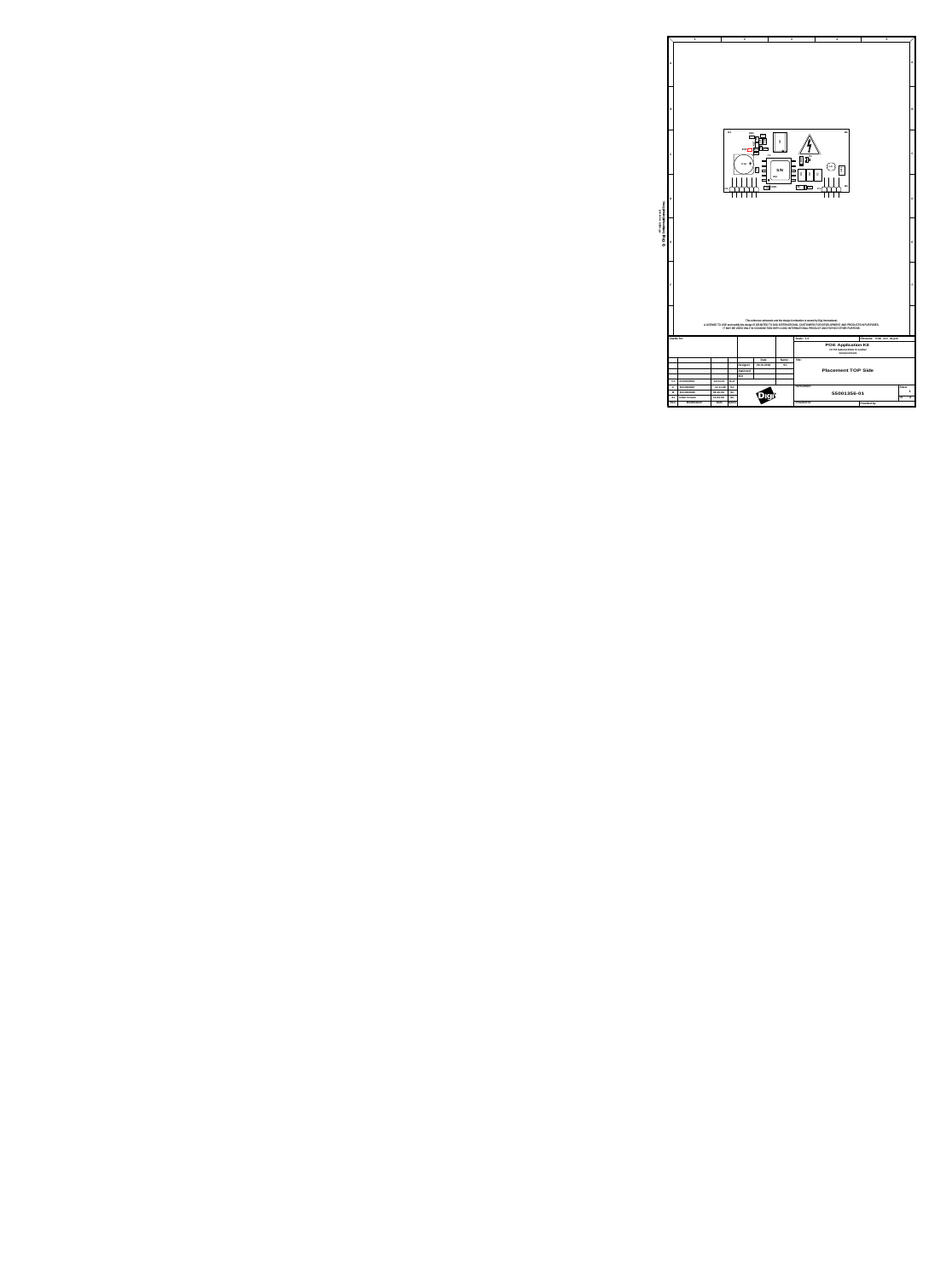